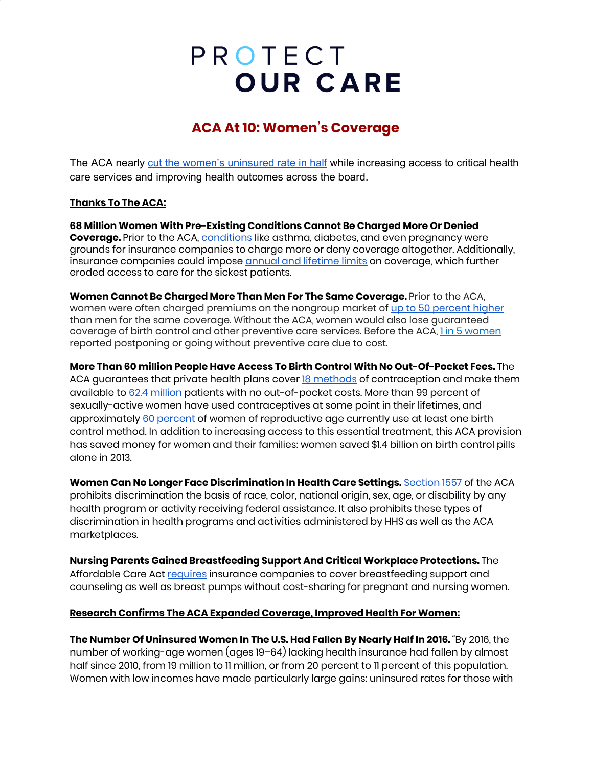# PROTECT **OUR CARE**

## **ACA At 10: Women's Coverage**

The ACA nearly cut the women's [uninsured](https://www.commonwealthfund.org/press-release/2017/new-report-uninsured-rate-us-women-drops-nearly-half-passage-aca-more-women) rate in half while increasing access to critical health care services and improving health outcomes across the board.

### **Thanks To The ACA:**

**68 Million Women With Pre-Existing Conditions Cannot Be Charged More Or Denied Coverage.** Prior to the ACA, [conditions](https://www.nationalpartnership.org/our-work/resources/health-care/aca-pre-ex-protections-women-girls.pdf) like asthma, diabetes, and even pregnancy were grounds for insurance companies to charge more or deny coverage altogether. Additionally, insurance companies could impose annual and [lifetime](https://www.brookings.edu/blog/usc-brookings-schaeffer-on-health-policy/2017/01/17/health-insurance-as-assurance-the-importance-of-keeping-the-acas-limits-on-enrollee-health-costs/) limits on coverage, which further eroded access to care for the sickest patients.

**Women Cannot Be Charged More Than Men For The Same Coverage.** Prior to the ACA, women were often charged premiums on the nongroup market of up to 50 [percent](https://www.nwlc.org/sites/default/files/pdfs/nwlc_2012_turningtofairness_report.pdf) higher than men for the same coverage. Without the ACA, women would also lose guaranteed coverage of birth control and other preventive care services. Before the ACA, 1 in 5 [women](https://www.kff.org/health-reform/fact-sheet/potential-impact-of-texas-v-u-s-decision-on-key-provisions-of-the-affordable-care-act/) reported postponing or going without preventive care due to cost.

**More Than 60 million People Have Access To Birth Control With No Out-Of-Pocket Fees.** The ACA guarantees that private health plans cover **18 [methods](https://www.americanprogress.org/issues/women/news/2017/10/06/440492/contraceptive-coverage-affordable-care-act/)** of contraception and make them available to 62.4 [million](https://nwlc.org/resources/new-data-estimate-62-4-million-women-have-coverage-of-birth-control-without-out-of-pocket-costs/) patients with no out-of-pocket costs. More than 99 percent of sexually-active women have used contraceptives at some point in their lifetimes, and approximately 60 [percent](https://www.guttmacher.org/fact-sheet/contraceptive-use-united-states#7a) of women of reproductive age currently use at least one birth control method. In addition to increasing access to this essential treatment, this ACA provision has saved money for women and their families: women saved \$1.4 billion on birth control pills alone in 2013.

**Women Can No Longer Face Discrimination In Health Care Settings.** [Section](https://www.federalregister.gov/documents/2016/05/18/2016-11458/nondiscrimination-in-health-programs-and-activities) 1557 of the ACA prohibits discrimination the basis of race, color, national origin, sex, age, or disability by any health program or activity receiving federal assistance. It also prohibits these types of discrimination in health programs and activities administered by HHS as well as the ACA marketplaces.

**Nursing Parents Gained Breastfeeding Support And Critical Workplace Protections.** The Affordable Care Act [requires](https://www.healthcare.gov/coverage/breast-feeding-benefits/) insurance companies to cover breastfeeding support and counseling as well as breast pumps without cost-sharing for pregnant and nursing women.

#### **Research Confirms The ACA Expanded Coverage, Improved Health For Women:**

**The Number Of Uninsured Women In The U.S. Had Fallen By Nearly Half In 2016.** "By 2016, the number of working-age women (ages 19–64) lacking health insurance had fallen by almost half since 2010, from 19 million to 11 million, or from 20 percent to 11 percent of this population. Women with low incomes have made particularly large gains: uninsured rates for those with